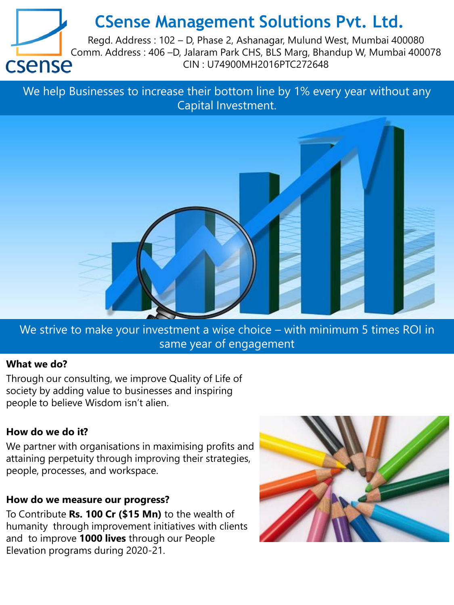# **CSense Management Solutions Pvt. Ltd.**



Regd. Address : 102 – D, Phase 2, Ashanagar, Mulund West, Mumbai 400080 Comm. Address : 406 –D, Jalaram Park CHS, BLS Marg, Bhandup W, Mumbai 400078<br>CSense Cin : U74900MH2016PTC272648 CIN : U74900MH2016PTC272648

We help Businesses to increase their bottom line by 1% every year without any Capital Investment.



We strive to make your investment a wise choice – with minimum 5 times ROI in same year of engagement

#### **What we do?**

Through our consulting, we improve Quality of Life of society by adding value to businesses and inspiring people to believe Wisdom isn't alien.

#### **How do we do it?**

We partner with organisations in maximising profits and attaining perpetuity through improving their strategies, people, processes, and workspace.

#### **How do we measure our progress?**

To Contribute **Rs. 100 Cr (\$15 Mn)** to the wealth of humanity through improvement initiatives with clients and to improve **1000 lives** through our People Elevation programs during 2020-21.

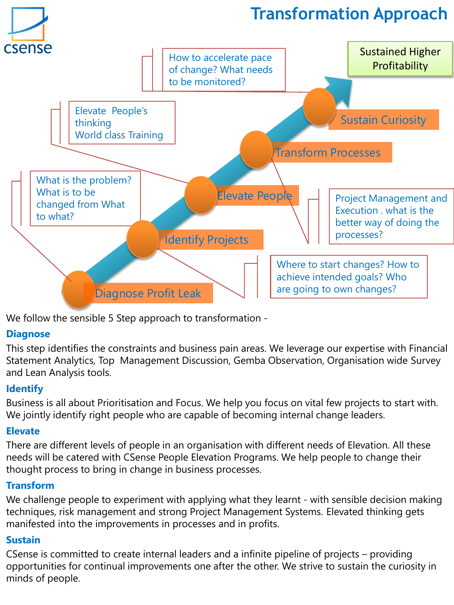

We follow the sensible 5 Step approach to transformation -

#### **Diagnose**

This step identifies the constraints and business pain areas. We leverage our expertise with Financial Statement Analytics, Top Management Discussion, Gemba Observation, Organisation wide Survey and Lean Analysis tools.

## **Identify**

Business is all about Prioritisation and Focus. We help you focus on vital few projects to start with. We jointly identify right people who are capable of becoming internal change leaders.

## **Elevate**

There are different levels of people in an organisation with different needs of Elevation. All these needs will be catered with CSense People Elevation Programs. We help people to change their thought process to bring in change in business processes.

## **Transform**

We challenge people to experiment with applying what they learnt - with sensible decision making techniques, risk management and strong Project Management Systems. Elevated thinking gets manifested into the improvements in processes and in profits.

## **Sustain**

CSense is committed to create internal leaders and a infinite pipeline of projects – providing opportunities for continual improvements one after the other. We strive to sustain the curiosity in minds of people.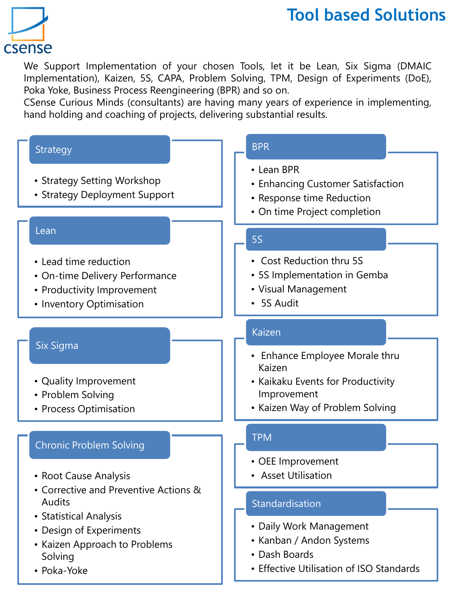# csense

# **Tool based Solutions**

We Support Implementation of your chosen Tools, let it be Lean, Six Sigma (DMAIC Implementation), Kaizen, 5S, CAPA, Problem Solving, TPM, Design of Experiments (DoE), Poka Yoke, Business Process Reengineering (BPR) and so on.

CSense Curious Minds (consultants) are having many years of experience in implementing, hand holding and coaching of projects, delivering substantial results.

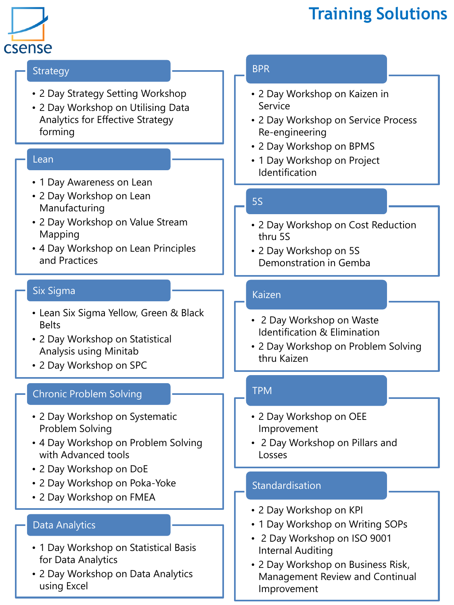

# **Training Solutions**

#### **Strategy**

- 2 Day Strategy Setting Workshop
- 2 Day Workshop on Utilising Data Analytics for Effective Strategy forming

#### Lean

- 1 Day Awareness on Lean
- 2 Day Workshop on Lean Manufacturing
- 2 Day Workshop on Value Stream Mapping
- 4 Day Workshop on Lean Principles and Practices

#### Six Sigma

- Lean Six Sigma Yellow, Green & Black Belts
- 2 Day Workshop on Statistical Analysis using Minitab
- 2 Day Workshop on SPC

#### Chronic Problem Solving

- 2 Day Workshop on Systematic Problem Solving
- 4 Day Workshop on Problem Solving with Advanced tools
- 2 Day Workshop on DoE
- 2 Day Workshop on Poka-Yoke
- 2 Day Workshop on FMEA

#### Data Analytics

- 1 Day Workshop on Statistical Basis for Data Analytics
- 2 Day Workshop on Data Analytics using Excel

## BPR

- 2 Day Workshop on Kaizen in Service
- 2 Day Workshop on Service Process Re-engineering
- 2 Day Workshop on BPMS
- 1 Day Workshop on Project Identification

## 5S

- 2 Day Workshop on Cost Reduction thru 5S
- 2 Day Workshop on 5S Demonstration in Gemba

#### Kaizen

- 2 Day Workshop on Waste Identification & Elimination
- 2 Day Workshop on Problem Solving thru Kaizen

#### TPM

- 2 Day Workshop on OEE Improvement
- 2 Day Workshop on Pillars and Losses

#### **Standardisation**

- 2 Day Workshop on KPI
- 1 Day Workshop on Writing SOPs
- 2 Day Workshop on ISO 9001 Internal Auditing
- 2 Day Workshop on Business Risk, Management Review and Continual Improvement